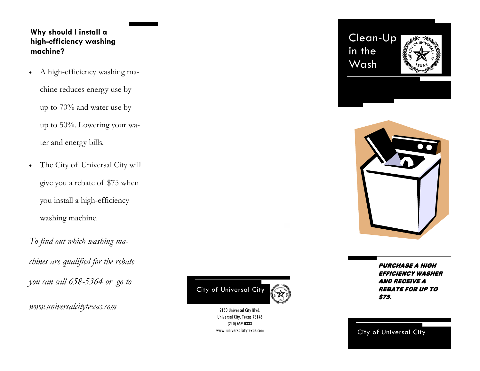## **Why should I install a high-efficiency washing machine?**

• A high-efficiency washing ma-

chine reduces energy use by up to 70% and water use by up to 50%. Lowering your water and energy bills.

- The City of Universal City will give you a rebate of \$75 when you install a high-efficiency washing machine.
- *To find out which washing machines are qualified for the rebate you can call 658-5364 or go to*

*www.universalcitytexas.com* 



Universal City, Texas 78148 (210) 659-0333 www. universalcitytexas.com Clean-Up in the Wash





Purchase a high efficiency washer and receive a rebate for up to \$75.

City of Universal City